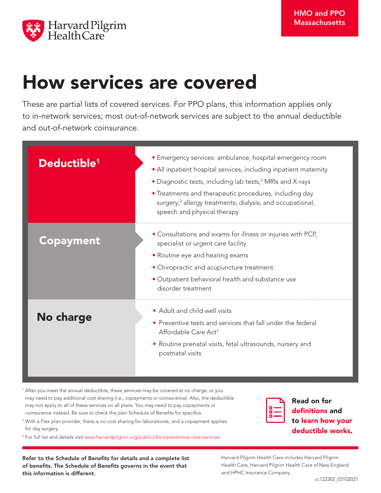

# How services are covered

These are partial lists of covered services. For PPO plans, this information applies only to in-network services; most out-of-network services are subject to the annual deductible and out-of-network coinsurance.

| Deductible <sup>1</sup> | · Emergency services: ambulance, hospital emergency room<br>· All inpatient hospital services, including inpatient maternity<br>• Diagnostic tests, including lab tests, <sup>2</sup> MRIs and X-rays<br>• Treatments and therapeutic procedures, including day<br>surgery; <sup>2</sup> allergy treatments; dialysis; and occupational,<br>speech and physical therapy |
|-------------------------|-------------------------------------------------------------------------------------------------------------------------------------------------------------------------------------------------------------------------------------------------------------------------------------------------------------------------------------------------------------------------|
| <b>Copayment</b>        | • Consultations and exams for illness or injuries with PCP,<br>specialist or urgent care facility<br>• Routine eye and hearing exams<br>• Chiropractic and acupuncture treatment<br>• Outpatient behavioral health and substance use<br>disorder treatment                                                                                                              |
| No charge               | • Adult and child well visits<br>• Preventive tests and services that fall under the federal<br>Affordable Care Act <sup>3</sup><br>• Routine prenatal visits, fetal ultrasounds, nursery and<br>postnatal visits                                                                                                                                                       |

<sup>1</sup> After you meet the annual deductible, these services may be covered at no charge, or you may need to pay additional cost sharing (i.e., copayments or coinsurance). Also, the deductible may not apply to all of these services on all plans. You may need to pay copayments or coinsurance instead. Be sure to check the plan Schedule of Benefits for specifics.

<sup>2</sup> With a Flex plan provider, there is no cost sharing for laboratories, and a copayment applies for day surgery.

3 For full list and details visit www.harvardpilgrim.org/public/docs/preventive-care-services.

Refer to the Schedule of Benefits for details and a complete list of benefits. The Schedule of Benefits governs in the event that this information is different.

Read on for definitions and to learn how your deductible works.

Harvard Pilgrim Health Care includes Harvard Pilgrim Health Care, Harvard Pilgrim Health Care of New England and HPHC Insurance Company.